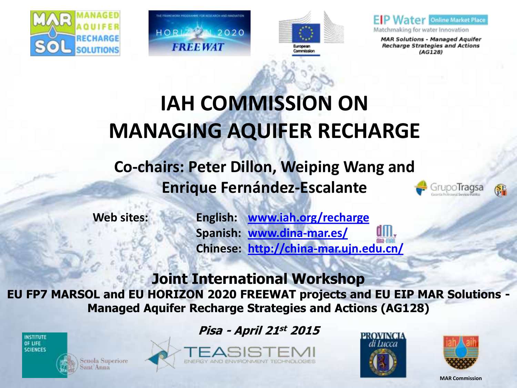





 $F$  P **Water** Online Market Place

Matchmaking for water Innovation

**MAR Solutions - Managed Aquifer Recharge Strategies and Actions**  $(AG128)$ 

## **IAH COMMISSION ON MANAGING AQUIFER RECHARGE**

**Co-chairs: Peter Dillon, Weiping Wang and Enrique Fernández-Escalante**

**Web sites: English: [www.iah.org/recharge](http://www.iah.org/recharge) Spanish: [www.dina-mar.es/](http://www.dina-mar.es/) Chinese: <http://china-mar.ujn.edu.cn/>**

### **Joint International Workshop**

**EU FP7 MARSOL and EU HORIZON 2020 FREEWAT projects and EU EIP MAR Solutions - Managed Aquifer Recharge Strategies and Actions (AG128)**



cuola Superiore ant'Anna



**Pisa - April 21st 2015**







upoTragsa

SF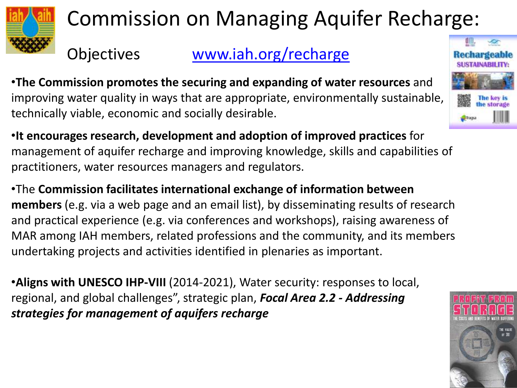

## Commission on Managing Aquifer Recharge:

Objectives [www.iah.org/recharge](http://www.iah.org/recharge/)

•**The Commission promotes the securing and expanding of water resources** and improving water quality in ways that are appropriate, environmentally sustainable, technically viable, economic and socially desirable.

•**It encourages research, development and adoption of improved practices** for management of aquifer recharge and improving knowledge, skills and capabilities of practitioners, water resources managers and regulators.

•The **Commission facilitates international exchange of information between members** (e.g. via a web page and an email list), by disseminating results of research and practical experience (e.g. via conferences and workshops), raising awareness of MAR among IAH members, related professions and the community, and its members undertaking projects and activities identified in plenaries as important.

•**Aligns with UNESCO IHP-VIII** (2014-2021), Water security: responses to local, regional, and global challenges", strategic plan, *Focal Area 2.2 - Addressing strategies for management of aquifers recharge* 



Recharge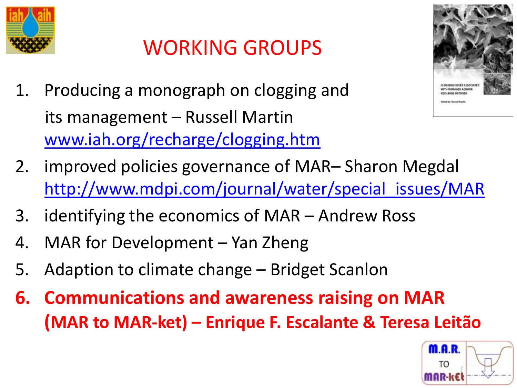

## WORKING GROUPS

1. Producing a monograph on clogging and its management – Russell Martin [www.iah.org/recharge/clogging.htm](http://www.iah.org/recharge/clogging.htm)



- 2. improved policies governance of MAR– Sharon Megdal [http://www.mdpi.com/journal/water/special\\_issues/MAR](http://www.mdpi.com/journal/water/special_issues/MAR)
- 3. identifying the economics of MAR Andrew Ross
- 4. MAR for Development Yan Zheng
- 5. Adaption to climate change Bridget Scanlon
- **6. Communications and awareness raising on MAR (MAR to MAR-ket) – Enrique F. Escalante & Teresa Leitão**

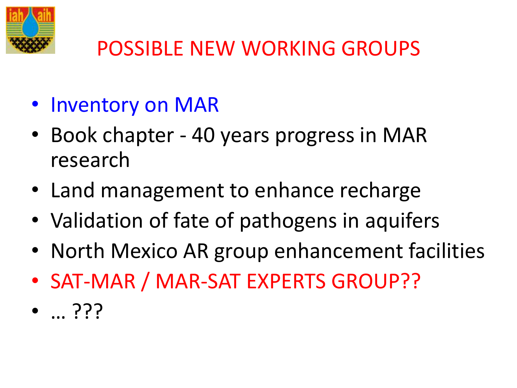

## POSSIBLE NEW WORKING GROUPS

- Inventory on MAR
- Book chapter 40 years progress in MAR research
- Land management to enhance recharge
- Validation of fate of pathogens in aquifers
- North Mexico AR group enhancement facilities
- SAT-MAR / MAR-SAT EXPERTS GROUP??
- … ???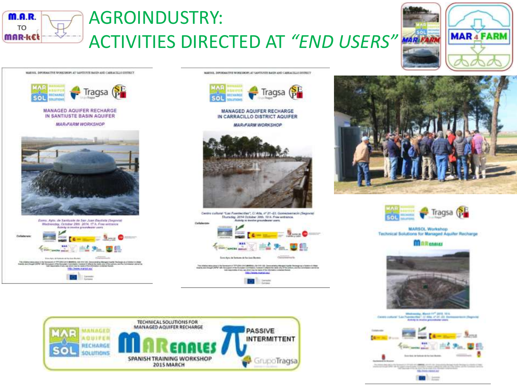

### **AGROINDUSTRY: ACTIVITIES DIRECTED AT "END USERS" MAREARM**



MARKOL DIPORMATIVE WORKSHOPS AT SANTHYSTE BAKEN AND CARRACTLEO DIVIDELT



#### **MANAGED AQUIFER RECHARGE** IN CARRACILLO DISTRICT AQUIFER

**MARIFARM WORKSHOP** 



Centro cultural "Las Fuertecidas", C/Alta, nº 21-23. Comézsemech (Segovia) Thursday, 2014 October 30th, 10 h. Free entrance. Artists to involve presentations were



**TELEPHONE** 









#### **MARSOL Workshop** Technical Solutions for Managed Aquiter Recharge

**MARCANUS** 



Mindreasting, March 11<sup>47</sup> 2015, 10-4.<br>Thomas Real - Cl-Alm, at 21-43. Ones **Acre (Tagnale)** Cantro cultural S.M.



**Children and Control Control Bill** and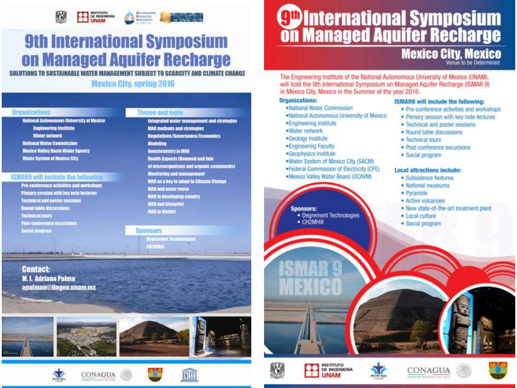

### **9th International Symposium** on Managed Aquifer Recharge

SOLUTIONS TO SUSTAINABLE WATER MANAGEMENT SUBJECT TO SCARCITY AND CLIMATE CHANGE

#### **Mexico City, spring 2016**

#### Organizations

**National Autonomous University of Mexico Engineering Institute Water network National Water Commission Mexico Valley Basin Water Agency Water System of Mexice City** 

#### **ISMARS will include the following**

Pro-conference activities and workshops Plenary session with key note lectures **Tochnical and poster sessions Bound table discussions Technical tours Post-conference excursions Social program** 

#### Theme and tonic

Integrated water management and strategies **MAR** methods and strategies **Requisions/Governance/Economics Modeling** Geochemistry in MAR Health Aspects (Romoval and Into of microorganisms and erganic compounds! Monitoring and management MAR as a key to adapt to Climate Change **MAR and water rouse** MAIL in developing country **MAR and blueprint** MAR in Market

#### **Sponsors**

Negromont Technologi CHZMHD

**Contact: M. L. Adriana Palma** apalman@iingen.unam.mx

















### **Mexico City, Mexico**

The Engineering Institute of the National Autonomous University of Mexico (UNAM). will hold the 9th International Symposium on Managed Aquifer Recharge (ISMAR 9) in México City, Mexico in the Summer of the year 2016.

#### **Organizations:**

- ·National Water Commission
- . National Autonomous University of Mexico:
- ·Engineering Institute
- ·Water network
- ·Geology Institute
- ·Engineering Faculty
- ·Geophysics Institute
- . Water System of Mexico City (SACM)
- ·Federal Commission of Electricity (CFE)
- .Mexico Valley Water Board (OCAVM)

#### Sponsors:

· Degremont Technologies

**INSTITUTO DE INGENIERÍA** 

UNAM

 $-$  CH2MHill

#### **ISMAR9** will include the following:

- · Pre-conference activities and workshops
- · Plenary session with key note lectures.
- · Technical and poster sessions
- · Round table discussions
- · Technical tours
- · Post-conference excursions
- · Social program

#### **Local attractions include:**

- · Subsidence features
- · National museums
- · Pyramids
- · Active volcanoes
- . New state-of-the-art treatment plant
- · Local culture
- · Social program









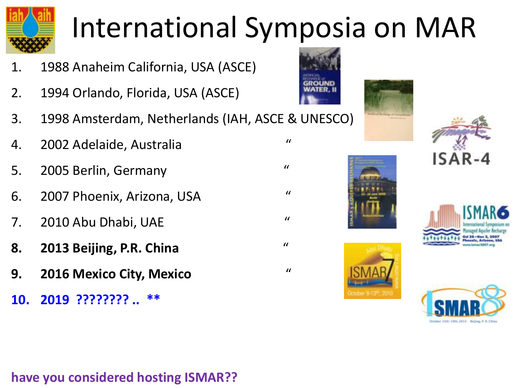

# International Symposia on MAR

- 1. 1988 Anaheim California, USA (ASCE)
- 2. 1994 Orlando, Florida, USA (ASCE)
- 3. 1998 Amsterdam, Netherlands (IAH, ASCE & UNESCO)
- 4. 2002 Adelaide, Australia "
- 5. 2005 Berlin, Germany "
- 6. 2007 Phoenix, Arizona, USA "
- 7. 2010 Abu Dhabi, UAE "
- **8. 2013 Beijing, P.R. China** "
- **9. 2016 Mexico City, Mexico** "
- **10. 2019 ???????? .. \*\***













### **have you considered hosting ISMAR??**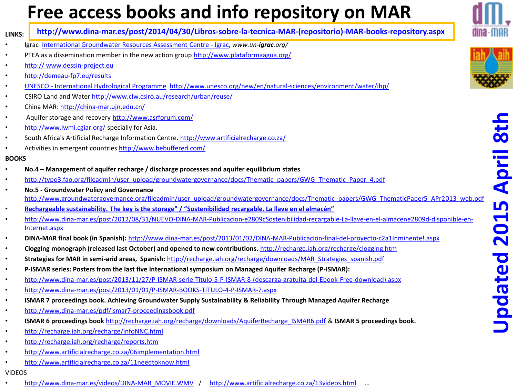### **Free access books and info repository on MAR**



**LINKS: http://www.dina-mar.es/post/2014/04/30/Libros-sobre-la-tecnica-MAR-(repositorio)-MAR-books-repository.aspx**

- Igrac [International Groundwater Resources Assessment Centre -](https://www.google.es/url?q=http://www.un-igrac.org/&sa=U&ei=E0o9U7L0Oq_a0QWopoCACA&ved=0CCIQFjAA&sig2=Jg60N_HKlgasQKmvWEi8hQ&usg=AFQjCNFUnzzKxfPHu6EWAi_5kgs8Bd2sjA) [Igrac,](https://www.google.es/url?q=http://www.un-igrac.org/&sa=U&ei=E0o9U7L0Oq_a0QWopoCACA&ved=0CCIQFjAA&sig2=Jg60N_HKlgasQKmvWEi8hQ&usg=AFQjCNFUnzzKxfPHu6EWAi_5kgs8Bd2sjA) *www.un-igrac.org/*
- PTEA as a dissemination member in the new action group <http://www.plataformaagua.org/>
- [http://](http://demeau-fp7.eu/results) [www.dessin-project.eu](http://www.dessin-project.eu/)
- <http://demeau-fp7.eu/results>
- [UNESCO -](http://www.unesco.org/water/ihp/) [International Hydrological Programme](http://www.unesco.org/water/ihp/) <http://www.unesco.org/new/en/natural-sciences/environment/water/ihp/>
- CSIRO Land and Water <http://www.clw.csiro.au/research/urban/reuse/>
- China MAR: <http://china-mar.ujn.edu.cn/>
- Aquifer storage and recovery <http://www.asrforum.com/>
- <http://www.iwmi.cgiar.org/> specially for Asia.
- South Africa's Artificial Recharge Information Centre. <http://www.artificialrecharge.co.za/>
- Activities in emergent countries <http://www.bebuffered.com/>

#### **BOOKS**

- **No.4 – Management of aquifer recharge / discharge processes and aquifer equilibrium states**
- [http://typo3.fao.org/fileadmin/user\\_upload/groundwatergovernance/docs/Thematic\\_papers/GWG\\_Thematic\\_Paper\\_4.pdf](http://typo3.fao.org/fileadmin/user_upload/groundwatergovernance/docs/Thematic_papers/GWG_Thematic_Paper_4.pdf)
- **No.5 - Groundwater Policy and Governance**  [http://www.groundwatergovernance.org/fileadmin/user\\_upload/groundwatergovernance/docs/Thematic\\_papers/GWG\\_ThematicPaper5\\_APr2013\\_web.pdf](http://www.groundwatergovernance.org/fileadmin/user_upload/groundwatergovernance/docs/Thematic_papers/GWG_ThematicPaper5_APr2013_web.pdf)
- **[Rechargeable sustainability. The key is the storage" / "](http://www.dina-mar.es/post/2012/08/31/NUEVO-DINA-MAR-Publicacion-e2809cSostenibilidad-recargable-La-llave-en-el-almacene2809d-disponible-en-Internet.aspx)[Sostenibilidad](http://www.dina-mar.es/post/2012/08/31/NUEVO-DINA-MAR-Publicacion-e2809cSostenibilidad-recargable-La-llave-en-el-almacene2809d-disponible-en-Internet.aspx) [recargable.](http://www.dina-mar.es/post/2012/08/31/NUEVO-DINA-MAR-Publicacion-e2809cSostenibilidad-recargable-La-llave-en-el-almacene2809d-disponible-en-Internet.aspx) [La llave en el almacén"](http://www.dina-mar.es/post/2012/08/31/NUEVO-DINA-MAR-Publicacion-e2809cSostenibilidad-recargable-La-llave-en-el-almacene2809d-disponible-en-Internet.aspx)**
- [http://www.dina-mar.es/post/2012/08/31/NUEVO-DINA-MAR-Publicacion-e2809cSostenibilidad-recargable-La-llave-en-el-almacene2809d-disponible-en-](http://www.dina-mar.es/post/2012/08/31/NUEVO-DINA-MAR-Publicacion-e2809cSostenibilidad-recargable-La-llave-en-el-almacene2809d-disponible-en-Internet.aspx)[Internet.aspx](http://www.dina-mar.es/post/2012/08/31/NUEVO-DINA-MAR-Publicacion-e2809cSostenibilidad-recargable-La-llave-en-el-almacene2809d-disponible-en-Internet.aspx)
- **DINA-MAR final book (in Spanish):** <http://www.dina-mar.es/post/2013/01/02/DINA-MAR-Publicacion-final-del-proyecto-c2a1Inminente!.aspx>
- **Clogging monograph (released last October) and opened to new contributions.** <http://recharge.iah.org/recharge/clogging.htm>
- **Strategies for MAR in semi-arid areas, Spanish:** [http://recharge.iah.org/recharge/downloads/MAR\\_Strategies\\_spanish.pdf](http://recharge.iah.org/recharge/downloads/MAR_Strategies_spanish.pdf)
- **P-ISMAR series: Posters from the last five International symposium on Managed Aquifer Recharge (P-ISMAR):**
- [http://www.dina-mar.es/post/2013/11/27/P-ISMAR-serie-Titulo-5-P-ISMAR-8-\(descarga-gratuita-del-Ebook-Free-download\).aspx](http://www.dina-mar.es/post/2013/11/27/P-ISMAR-serie-Titulo-5-P-ISMAR-8-(descarga-gratuita-del-Ebook-Free-download).aspx)
- <http://www.dina-mar.es/post/2013/01/01/P-ISMAR-BOOKS-TITULO-4-P-ISMAR-7.aspx>
- **ISMAR 7 proceedings book. Achieving Groundwater Supply Sustainability & Reliability Through Managed Aquifer Recharge**
- <http://www.dina-mar.es/pdf/ismar7-proceedingsbook.pdf>
- **ISMAR 6 proceedings book** [http://recharge.iah.org/recharge/downloads/AquiferRecharge\\_ISMAR6.pdf](http://recharge.iah.org/recharge/downloads/AquiferRecharge_ISMAR6.pdf) & **ISMAR 5 proceedings book.**
- <http://recharge.iah.org/recharge/infoNNC.html>
- <http://recharge.iah.org/recharge/reports.htm>
- <http://www.artificialrecharge.co.za/06implementation.html>
- <http://www.artificialrecharge.co.za/11needtoknow.html>
- VIDEOS
- [http://www.dina-mar.es/videos/DINA-MAR\\_MOVIE.WMV](http://www.dina-mar.es/videos/DINA-MAR_MOVIE.WMV) / <http://www.artificialrecharge.co.za/13videos.html> …

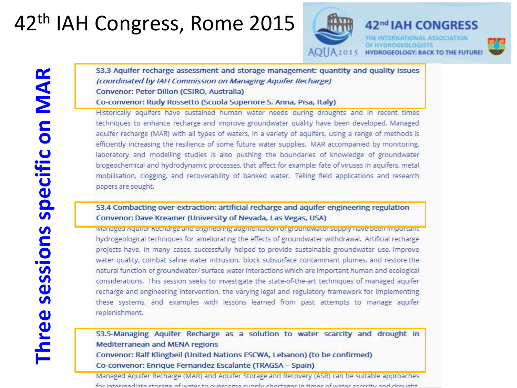## 42<sup>th</sup> IAH Congress, Rome 2015



53.3 Aquifer recharge assessment and storage management: quantity and quality issues (coordinated by IAH Commission on Managing Aquifer Recharge) Convenor: Peter Dillon (CSIRO, Australia)

Co-convenor: Rudy Rossetto (Scuola Superiore S. Anna, Pisa, Italy)

Historically aquifers have sustained human water needs during droughts and in recent times techniques to enhance recharge and improve groundwater quality have been developed. Managed aquifer recharge (MAR) with all types of waters, in a variety of aquifers, using a range of methods is efficiently increasing the resilience of some future water supplies. MAR accompanied by monitoring, laboratory and modelling studies is also pushing the boundaries of knowledge of groundwater biogeochemical and hydrodynamic processes, that affect for example; fate of viruses in aquifers, metal mobilisation, clogging, and recoverability of banked water. Telling field applications and research papers are sought.

#### S3.4 Combacting over-extraction: artificial recharge and aquifer engineering regulation Convenor: Dave Kreamer (University of Nevada, Las Vegas, USA)

ivianaged Aquifer Recharge and engineering augmentation of groundwater supply have been important. hydrogeological techniques for ameliorating the effects of groundwater withdrawal. Artificial recharge projects have, in many cases, successfully helped to provide sustainable groundwater use, improve water quality, combat saline water intrusion, block subsurface contaminant plumes, and restore the natural function of groundwater/ surface water interactions which are important human and ecological considerations. This session seeks to investigate the state-of-the-art techniques of managed aquifer recharge and engineering intervention, the varying legal and regulatory framework for implementing these systems, and examples with lessons learned from past attempts to manage aquifer replenishment.

53.5-Managing Aquifer Recharge as a solution to water scarcity and drought in **Mediterranean and MENA regions** Convenor: Ralf Klingbeil (United Nations ESCWA, Lebanon) (to be confirmed) Co-convenor: Enrique Fernandez Escalante (TRAGSA - Spain)

Managed Aquifer Recharge (MAR) and Aquifer Storage and Recovery (ASR) can be suitable approaches for intermediate storage of water to overrome sunnly shortages in times of water scarrity and drought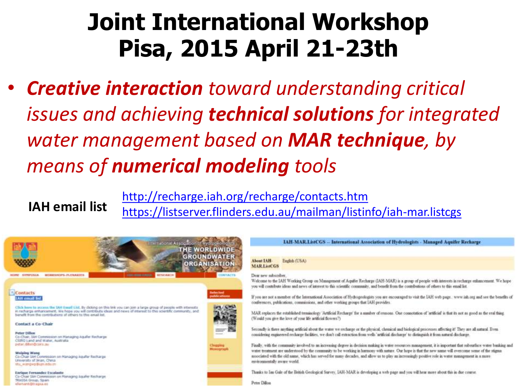## **Joint International Workshop Pisa, 2015 April 21-23th**

• *Creative interaction toward understanding critical issues and achieving technical solutions for integrated water management based on MAR technique, by means of numerical modeling tools*

<http://recharge.iah.org/recharge/contacts.htm> <https://listserver.flinders.edu.au/mailman/listinfo/iah-mar.listcgs> **IAH email list**